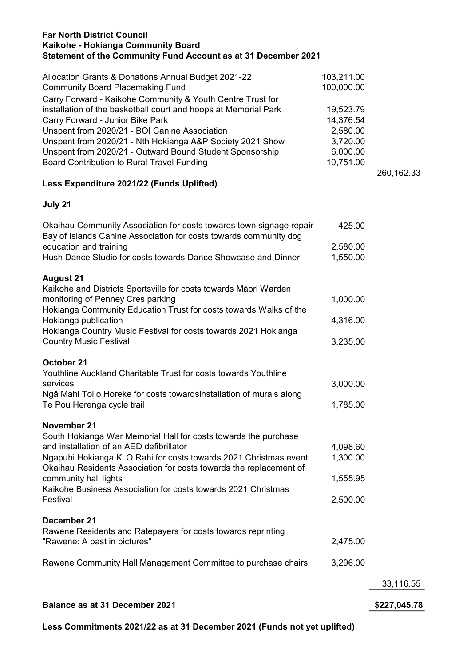## Far North District Council Kaikohe - Hokianga Community Board Statement of the Community Fund Account as at 31 December 2021

| Allocation Grants & Donations Annual Budget 2021-22             | 103,211.00 |
|-----------------------------------------------------------------|------------|
| <b>Community Board Placemaking Fund</b>                         | 100,000.00 |
| Carry Forward - Kaikohe Community & Youth Centre Trust for      |            |
| installation of the basketball court and hoops at Memorial Park | 19,523.79  |
| Carry Forward - Junior Bike Park                                | 14,376.54  |
| Unspent from 2020/21 - BOI Canine Association                   | 2,580.00   |
| Unspent from 2020/21 - Nth Hokianga A&P Society 2021 Show       | 3,720.00   |
| Unspent from 2020/21 - Outward Bound Student Sponsorship        | 6,000.00   |
| <b>Board Contribution to Rural Travel Funding</b>               | 10,751.00  |

260,162.33

## Less Expenditure 2021/22 (Funds Uplifted)

## July 21

| Rawene Community Hall Management Committee to purchase chairs                                                                           | 3,296.00 | 33,116.55 |
|-----------------------------------------------------------------------------------------------------------------------------------------|----------|-----------|
| "Rawene: A past in pictures"                                                                                                            | 2,475.00 |           |
| December 21<br>Rawene Residents and Ratepayers for costs towards reprinting                                                             |          |           |
| Kaikohe Business Association for costs towards 2021 Christmas<br>Festival                                                               | 2,500.00 |           |
| community hall lights                                                                                                                   | 1,555.95 |           |
| Ngapuhi Hokianga Ki O Rahi for costs towards 2021 Christmas event<br>Okaihau Residents Association for costs towards the replacement of | 1,300.00 |           |
| November 21<br>South Hokianga War Memorial Hall for costs towards the purchase<br>and installation of an AED defibrillator              | 4,098.60 |           |
| Ngā Mahi Toi o Horeke for costs towardsinstallation of murals along<br>Te Pou Herenga cycle trail                                       | 1,785.00 |           |
| Youthline Auckland Charitable Trust for costs towards Youthline<br>services                                                             | 3,000.00 |           |
| October 21                                                                                                                              |          |           |
| Hokianga Country Music Festival for costs towards 2021 Hokianga<br><b>Country Music Festival</b>                                        | 3,235.00 |           |
| Hokianga Community Education Trust for costs towards Walks of the<br>Hokianga publication                                               | 4,316.00 |           |
| <b>August 21</b><br>Kaikohe and Districts Sportsville for costs towards Māori Warden<br>monitoring of Penney Cres parking               | 1,000.00 |           |
| Hush Dance Studio for costs towards Dance Showcase and Dinner                                                                           | 1,550.00 |           |
| Bay of Islands Canine Association for costs towards community dog<br>education and training                                             | 2,580.00 |           |
| Okaihau Community Association for costs towards town signage repair                                                                     | 425.00   |           |

Less Commitments 2021/22 as at 31 December 2021 (Funds not yet uplifted)